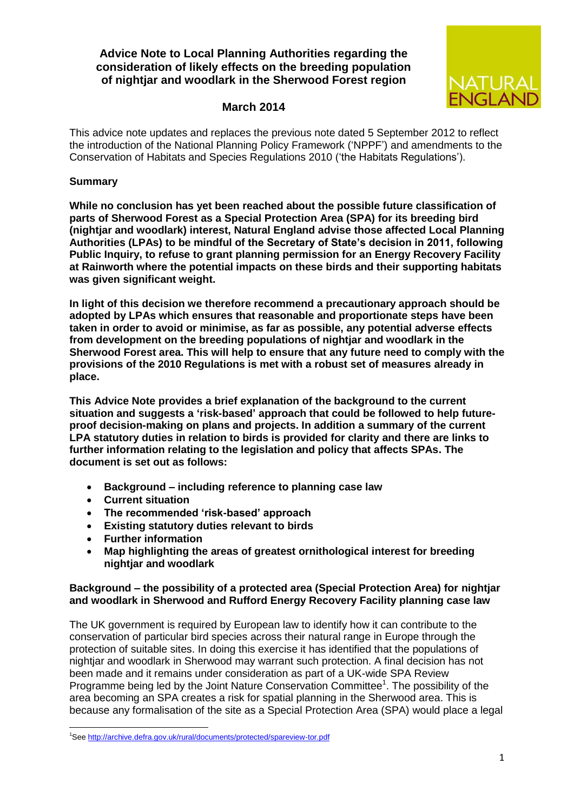# **Advice Note to Local Planning Authorities regarding the consideration of likely effects on the breeding population of nightjar and woodlark in the Sherwood Forest region**



### **March 2014**

This advice note updates and replaces the previous note dated 5 September 2012 to reflect the introduction of the National Planning Policy Framework ('NPPF') and amendments to the Conservation of Habitats and Species Regulations 2010 ('the Habitats Regulations').

#### **Summary**

**While no conclusion has yet been reached about the possible future classification of parts of Sherwood Forest as a Special Protection Area (SPA) for its breeding bird (nightjar and woodlark) interest, Natural England advise those affected Local Planning Authorities (LPAs) to be mindful of the Secretary of State's decision in 2011, following Public Inquiry, to refuse to grant planning permission for an Energy Recovery Facility at Rainworth where the potential impacts on these birds and their supporting habitats was given significant weight.** 

**In light of this decision we therefore recommend a precautionary approach should be adopted by LPAs which ensures that reasonable and proportionate steps have been taken in order to avoid or minimise, as far as possible, any potential adverse effects from development on the breeding populations of nightjar and woodlark in the Sherwood Forest area. This will help to ensure that any future need to comply with the provisions of the 2010 Regulations is met with a robust set of measures already in place.**

**This Advice Note provides a brief explanation of the background to the current situation and suggests a 'risk-based' approach that could be followed to help futureproof decision-making on plans and projects. In addition a summary of the current LPA statutory duties in relation to birds is provided for clarity and there are links to further information relating to the legislation and policy that affects SPAs. The document is set out as follows:**

- **Background – including reference to planning case law**
- **Current situation**
- **The recommended 'risk-based' approach**
- **Existing statutory duties relevant to birds**
- **Further information**

**.** 

 **Map highlighting the areas of greatest ornithological interest for breeding nightjar and woodlark**

#### **Background – the possibility of a protected area (Special Protection Area) for nightjar and woodlark in Sherwood and Rufford Energy Recovery Facility planning case law**

The UK government is required by European law to identify how it can contribute to the conservation of particular bird species across their natural range in Europe through the protection of suitable sites. In doing this exercise it has identified that the populations of nightjar and woodlark in Sherwood may warrant such protection. A final decision has not been made and it remains under consideration as part of a UK-wide SPA Review Programme being led by the Joint Nature Conservation Committee<sup>1</sup>. The possibility of the area becoming an SPA creates a risk for spatial planning in the Sherwood area. This is because any formalisation of the site as a Special Protection Area (SPA) would place a legal

<sup>1</sup>Se[e http://archive.defra.gov.uk/rural/documents/protected/spareview-tor.pdf](http://archive.defra.gov.uk/rural/documents/protected/spareview-tor.pdf)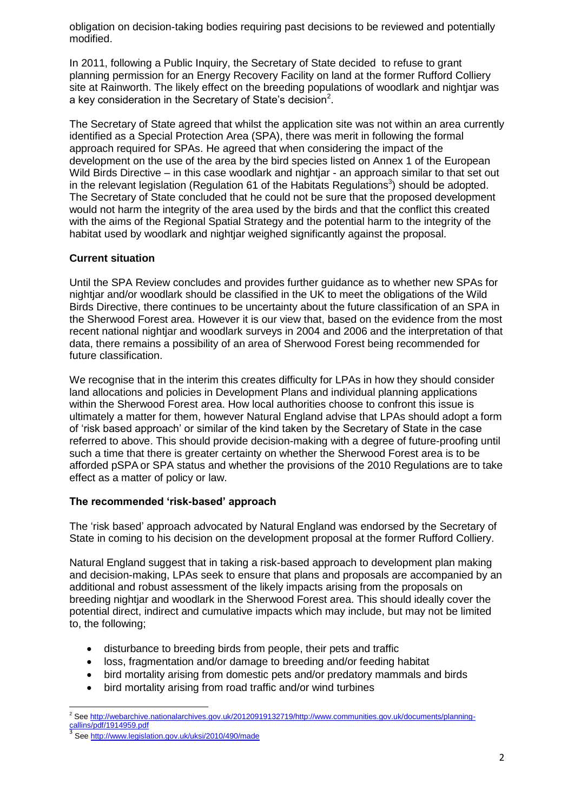obligation on decision-taking bodies requiring past decisions to be reviewed and potentially modified.

In 2011, following a Public Inquiry, the Secretary of State decided to refuse to grant planning permission for an Energy Recovery Facility on land at the former Rufford Colliery site at Rainworth. The likely effect on the breeding populations of woodlark and nightjar was a key consideration in the Secretary of State's decision<sup>2</sup>.

The Secretary of State agreed that whilst the application site was not within an area currently identified as a Special Protection Area (SPA), there was merit in following the formal approach required for SPAs. He agreed that when considering the impact of the development on the use of the area by the bird species listed on Annex 1 of the European Wild Birds Directive – in this case woodlark and nightjar - an approach similar to that set out in the relevant legislation (Regulation 61 of the Habitats Regulations<sup>3</sup>) should be adopted. The Secretary of State concluded that he could not be sure that the proposed development would not harm the integrity of the area used by the birds and that the conflict this created with the aims of the Regional Spatial Strategy and the potential harm to the integrity of the habitat used by woodlark and nightiar weighed significantly against the proposal.

### **Current situation**

Until the SPA Review concludes and provides further guidance as to whether new SPAs for nightjar and/or woodlark should be classified in the UK to meet the obligations of the Wild Birds Directive, there continues to be uncertainty about the future classification of an SPA in the Sherwood Forest area. However it is our view that, based on the evidence from the most recent national nightjar and woodlark surveys in 2004 and 2006 and the interpretation of that data, there remains a possibility of an area of Sherwood Forest being recommended for future classification.

We recognise that in the interim this creates difficulty for LPAs in how they should consider land allocations and policies in Development Plans and individual planning applications within the Sherwood Forest area. How local authorities choose to confront this issue is ultimately a matter for them, however Natural England advise that LPAs should adopt a form of 'risk based approach' or similar of the kind taken by the Secretary of State in the case referred to above. This should provide decision-making with a degree of future-proofing until such a time that there is greater certainty on whether the Sherwood Forest area is to be afforded pSPA or SPA status and whether the provisions of the 2010 Regulations are to take effect as a matter of policy or law.

# **The recommended 'risk-based' approach**

The 'risk based' approach advocated by Natural England was endorsed by the Secretary of State in coming to his decision on the development proposal at the former Rufford Colliery.

Natural England suggest that in taking a risk-based approach to development plan making and decision-making, LPAs seek to ensure that plans and proposals are accompanied by an additional and robust assessment of the likely impacts arising from the proposals on breeding nightjar and woodlark in the Sherwood Forest area. This should ideally cover the potential direct, indirect and cumulative impacts which may include, but may not be limited to, the following;

- disturbance to breeding birds from people, their pets and traffic
- loss, fragmentation and/or damage to breeding and/or feeding habitat
- bird mortality arising from domestic pets and/or predatory mammals and birds
- bird mortality arising from road traffic and/or wind turbines

**<sup>.</sup>** <sup>2</sup> Se[e http://webarchive.nationalarchives.gov.uk/20120919132719/http://www.communities.gov.uk/documents/planning](http://webarchive.nationalarchives.gov.uk/20120919132719/http:/www.communities.gov.uk/documents/planning-callins/pdf/1914959.pdf)[callins/pdf/1914959.pdf](http://webarchive.nationalarchives.gov.uk/20120919132719/http:/www.communities.gov.uk/documents/planning-callins/pdf/1914959.pdf)

<sup>3</sup> See <http://www.legislation.gov.uk/uksi/2010/490/made>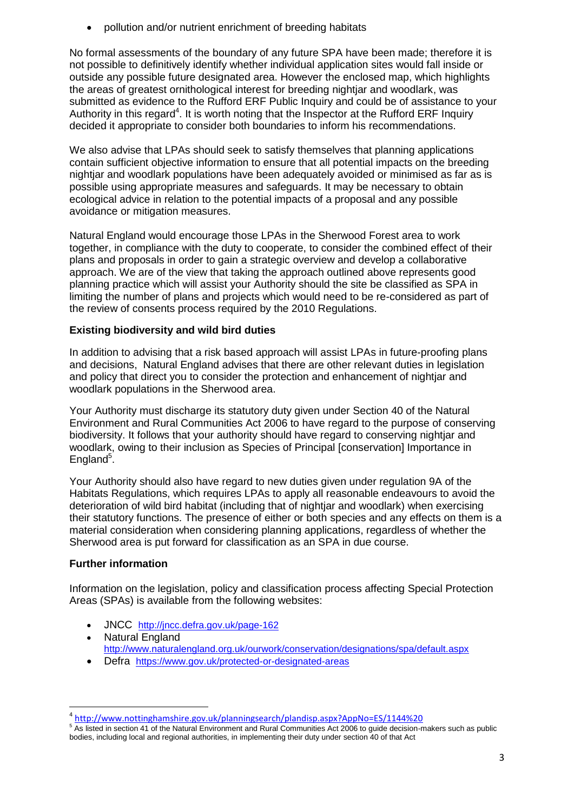pollution and/or nutrient enrichment of breeding habitats

No formal assessments of the boundary of any future SPA have been made; therefore it is not possible to definitively identify whether individual application sites would fall inside or outside any possible future designated area. However the enclosed map, which highlights the areas of greatest ornithological interest for breeding nightjar and woodlark, was submitted as evidence to the Rufford ERF Public Inquiry and could be of assistance to your Authority in this regard<sup>4</sup>. It is worth noting that the Inspector at the Rufford ERF Inquiry decided it appropriate to consider both boundaries to inform his recommendations.

We also advise that LPAs should seek to satisfy themselves that planning applications contain sufficient objective information to ensure that all potential impacts on the breeding nightjar and woodlark populations have been adequately avoided or minimised as far as is possible using appropriate measures and safeguards. It may be necessary to obtain ecological advice in relation to the potential impacts of a proposal and any possible avoidance or mitigation measures.

Natural England would encourage those LPAs in the Sherwood Forest area to work together, in compliance with the duty to cooperate, to consider the combined effect of their plans and proposals in order to gain a strategic overview and develop a collaborative approach. We are of the view that taking the approach outlined above represents good planning practice which will assist your Authority should the site be classified as SPA in limiting the number of plans and projects which would need to be re-considered as part of the review of consents process required by the 2010 Regulations.

# **Existing biodiversity and wild bird duties**

In addition to advising that a risk based approach will assist LPAs in future-proofing plans and decisions, Natural England advises that there are other relevant duties in legislation and policy that direct you to consider the protection and enhancement of nightjar and woodlark populations in the Sherwood area.

Your Authority must discharge its statutory duty given under Section 40 of the Natural Environment and Rural Communities Act 2006 to have regard to the purpose of conserving biodiversity. It follows that your authority should have regard to conserving nightjar and woodlark, owing to their inclusion as Species of Principal [conservation] Importance in England<sup>5</sup>.

Your Authority should also have regard to new duties given under regulation 9A of the Habitats Regulations, which requires LPAs to apply all reasonable endeavours to avoid the deterioration of wild bird habitat (including that of nightjar and woodlark) when exercising their statutory functions. The presence of either or both species and any effects on them is a material consideration when considering planning applications, regardless of whether the Sherwood area is put forward for classification as an SPA in due course.

# **Further information**

**.** 

Information on the legislation, policy and classification process affecting Special Protection Areas (SPAs) is available from the following websites:

- JNCC <http://jncc.defra.gov.uk/page-162>
- Natural England <http://www.naturalengland.org.uk/ourwork/conservation/designations/spa/default.aspx>
- Defra <https://www.gov.uk/protected-or-designated-areas>

<sup>4</sup> <http://www.nottinghamshire.gov.uk/planningsearch/plandisp.aspx?AppNo=ES/1144%20>

<sup>&</sup>lt;sup>5</sup> As listed in section 41 of the Natural Environment and Rural Communities Act 2006 to guide decision-makers such as public bodies, including local and regional authorities, in implementing their duty under section 40 of that Act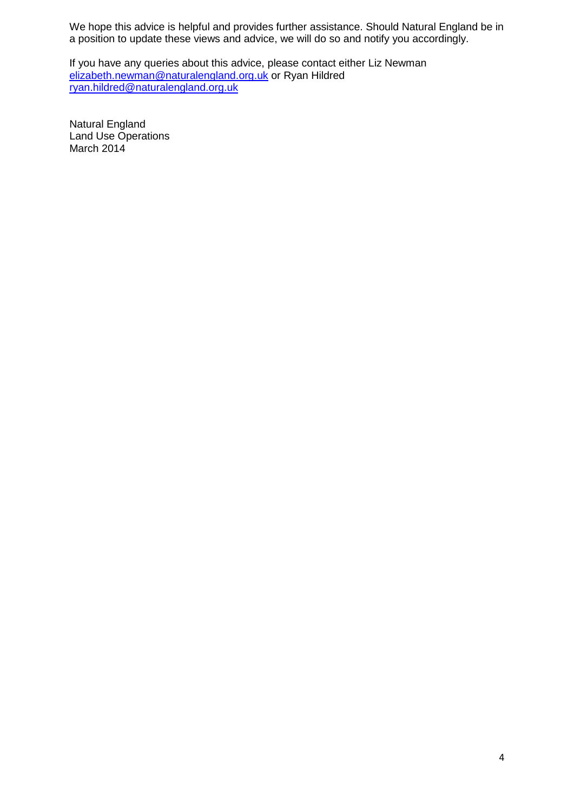We hope this advice is helpful and provides further assistance. Should Natural England be in a position to update these views and advice, we will do so and notify you accordingly.

If you have any queries about this advice, please contact either Liz Newman [elizabeth.newman@naturalengland.org.uk](mailto:elizabeth.newman@naturalengland.org.uk) or Ryan Hildred [ryan.hildred@naturalengland.org.uk](mailto:ryan.hildred@naturalengland.org.uk)

Natural England Land Use Operations March 2014